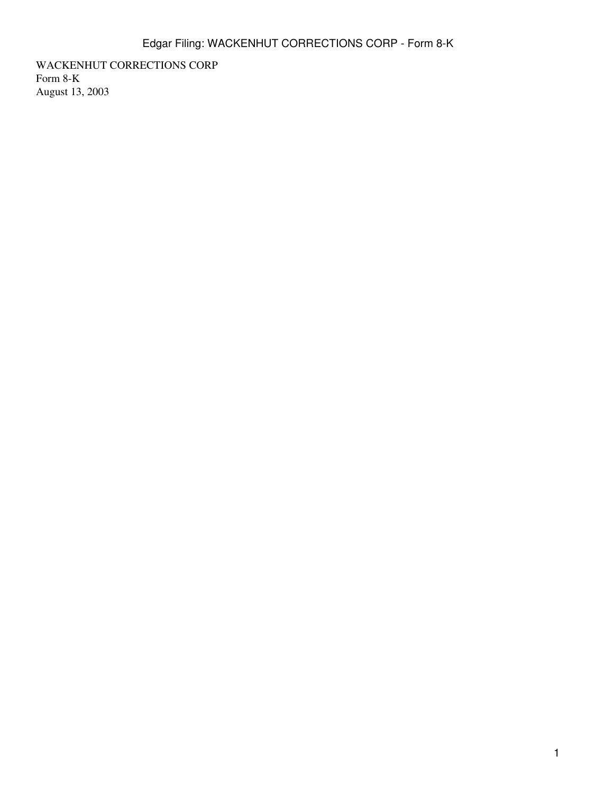WACKENHUT CORRECTIONS CORP Form 8-K August 13, 2003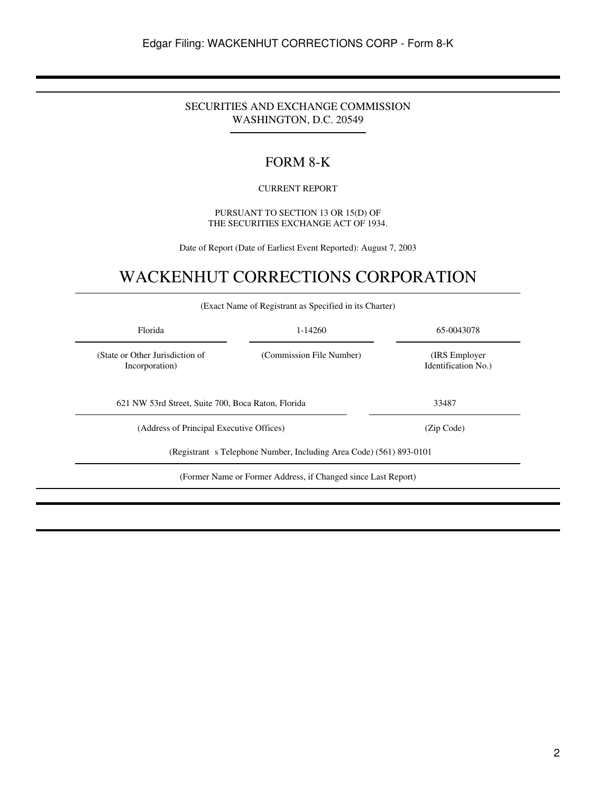### SECURITIES AND EXCHANGE COMMISSION WASHINGTON, D.C. 20549

# FORM 8-K

#### CURRENT REPORT

#### PURSUANT TO SECTION 13 OR 15(D) OF THE SECURITIES EXCHANGE ACT OF 1934.

Date of Report (Date of Earliest Event Reported): August 7, 2003

# WACKENHUT CORRECTIONS CORPORATION

|                                                    | (Exact Name of Registrant as Specified in its Charter)              |                                       |
|----------------------------------------------------|---------------------------------------------------------------------|---------------------------------------|
| Florida                                            | 1-14260                                                             | 65-0043078                            |
| (State or Other Jurisdiction of<br>Incorporation)  | (Commission File Number)                                            | (IRS Employer)<br>Identification No.) |
| 621 NW 53rd Street, Suite 700, Boca Raton, Florida |                                                                     | 33487                                 |
| (Address of Principal Executive Offices)           |                                                                     | (Zip Code)                            |
|                                                    | (Registrant s Telephone Number, Including Area Code) (561) 893-0101 |                                       |
|                                                    | (Former Name or Former Address, if Changed since Last Report)       |                                       |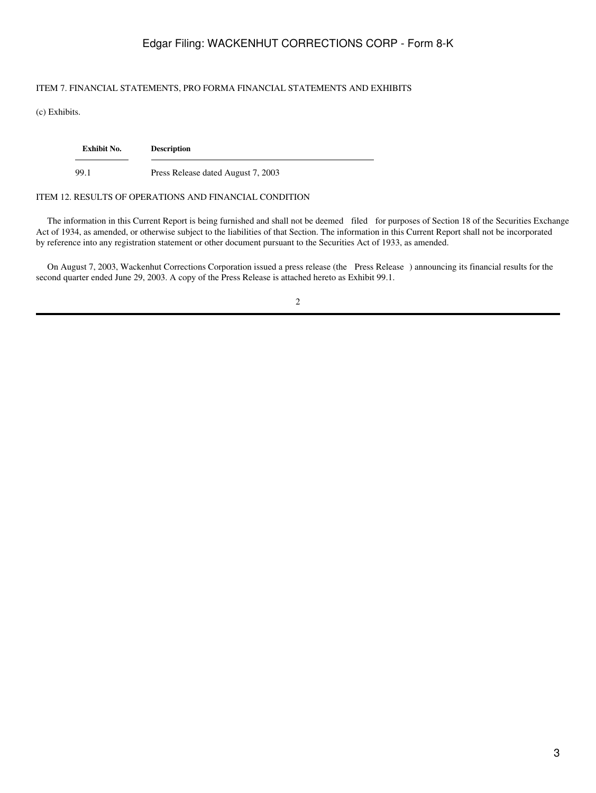## Edgar Filing: WACKENHUT CORRECTIONS CORP - Form 8-K

#### ITEM 7. FINANCIAL STATEMENTS, PRO FORMA FINANCIAL STATEMENTS AND EXHIBITS

(c) Exhibits.

| Exhibit No. | <b>Description</b>                 |
|-------------|------------------------------------|
| 99.1        | Press Release dated August 7, 2003 |

#### ITEM 12. RESULTS OF OPERATIONS AND FINANCIAL CONDITION

 The information in this Current Report is being furnished and shall not be deemed filed for purposes of Section 18 of the Securities Exchange Act of 1934, as amended, or otherwise subject to the liabilities of that Section. The information in this Current Report shall not be incorporated by reference into any registration statement or other document pursuant to the Securities Act of 1933, as amended.

 On August 7, 2003, Wackenhut Corrections Corporation issued a press release (the Press Release) announcing its financial results for the second quarter ended June 29, 2003. A copy of the Press Release is attached hereto as Exhibit 99.1.

2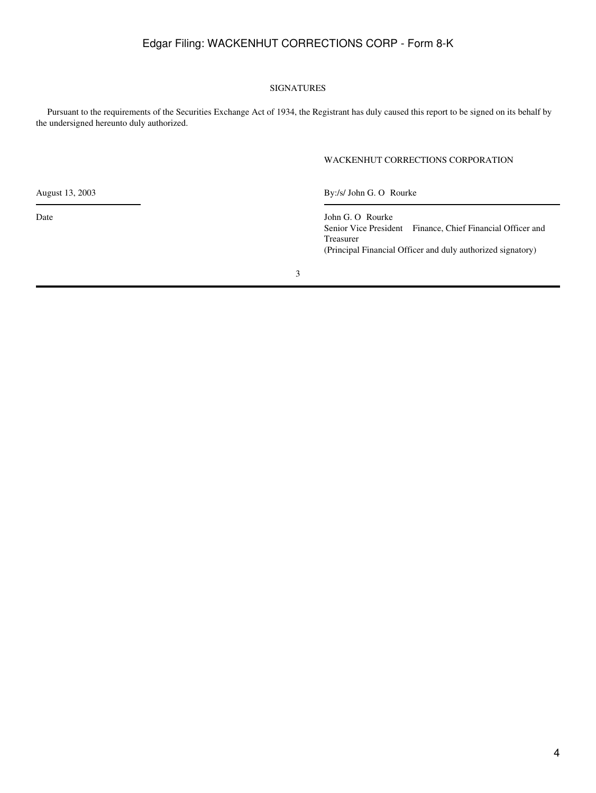## Edgar Filing: WACKENHUT CORRECTIONS CORP - Form 8-K

#### SIGNATURES

 Pursuant to the requirements of the Securities Exchange Act of 1934, the Registrant has duly caused this report to be signed on its behalf by the undersigned hereunto duly authorized.

#### WACKENHUT CORRECTIONS CORPORATION

August 13, 2003 By:/s/ John G. O Rourke

Date John G. O Rourke Senior Vice President Finance, Chief Financial Officer and Treasurer (Principal Financial Officer and duly authorized signatory)

3